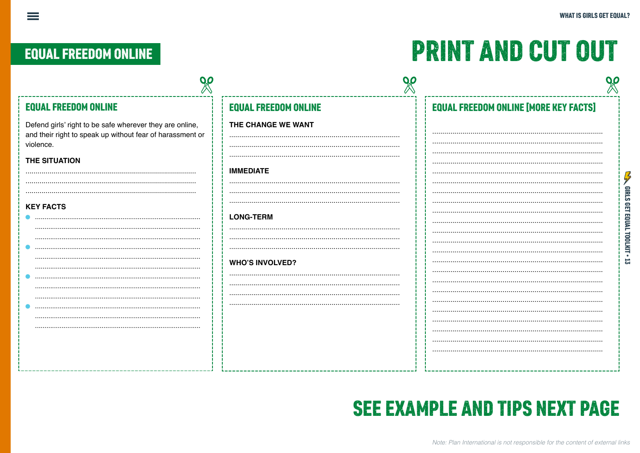### **EQUAL FREEDOM ONLINE**

 $\equiv$ 

## **PRINT AND CUT OUT**

| <b>EQUAL FREEDOM ONLINE</b>                                                                                                        | <b>EQUAL FREEDOM ONLINE</b> | <b>EQUAL FREEDOM ONLINE [MORE KEY FACTS]</b> |
|------------------------------------------------------------------------------------------------------------------------------------|-----------------------------|----------------------------------------------|
| Defend girls' right to be safe wherever they are online,<br>and their right to speak up without fear of harassment or<br>violence. | THE CHANGE WE WANT          |                                              |
| THE SITUATION                                                                                                                      | <b>IMMEDIATE</b>            |                                              |
|                                                                                                                                    |                             | <b>HRLS</b>                                  |
| <b>KEY FACTS</b>                                                                                                                   | <b>LONG-TERM</b>            | <b>RET</b><br>EQUAL                          |
|                                                                                                                                    |                             | TOOLKIT                                      |
|                                                                                                                                    | <b>WHO'S INVOLVED?</b>      |                                              |
|                                                                                                                                    |                             |                                              |
|                                                                                                                                    |                             |                                              |
|                                                                                                                                    |                             |                                              |
|                                                                                                                                    |                             |                                              |

### **SEE EXAMPLE AND TIPS NEXT PAGE**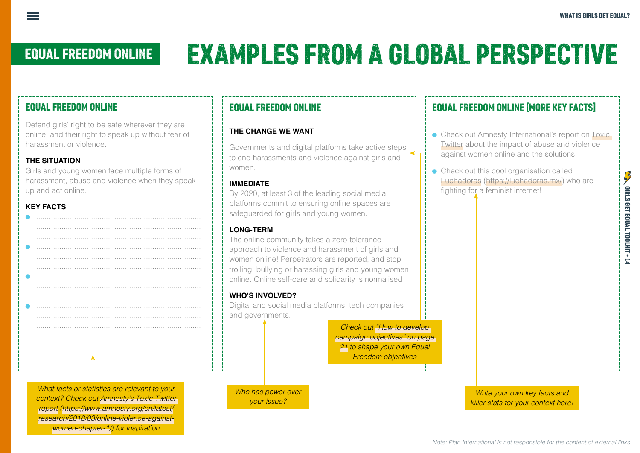# EQUAL FREEDOM ONLINE EXAMPLES FROM A GLOBAL PERSPECTIVE

#### EQUAL FREEDOM ONLINE

Defend girls' right to be safe wherever they are online, and their right to speak up without fear of harassment or violence.

#### **THE SITUATION**

Girls and young women face multiple forms of harassment, abuse and violence when they speak up and act online.

#### **KEY FACTS**

*What facts or statistics are relevant to your context? Check out [Amnesty's Toxic Twitter](https://www.amnesty.org/en/latest/research/2018/03/online-violence-against-women-chapter-1/#topanchor)  [report](https://www.amnesty.org/en/latest/research/2018/03/online-violence-against-women-chapter-1/#topanchor) ([https://www.amnesty.org/en/latest/](https://www.amnesty.org/en/latest/research/2018/03/online-violence-against-women-chapter-1/#topanchor) [research/2018/03/online-violence-against](https://www.amnesty.org/en/latest/research/2018/03/online-violence-against-women-chapter-1/#topanchor)[women-chapter-1/](https://www.amnesty.org/en/latest/research/2018/03/online-violence-against-women-chapter-1/#topanchor)) for inspiration*

#### EQUAL FREEDOM ONLINE

#### **THE CHANGE WE WANT**

Governments and digital platforms take active steps to end harassments and violence against girls and women.

#### **IMMEDIATE**

By 2020, at least 3 of the leading social media platforms commit to ensuring online spaces are safeguarded for girls and young women.

#### **LONG-TERM**

The online community takes a zero-tolerance approach to violence and harassment of girls and women online! Perpetrators are reported, and stop trolling, bullying or harassing girls and young women online. Online self-care and solidarity is normalised

#### **WHO'S INVOLVED?**

Digital and social media platforms, tech companies and governments.

> *Check out "How to develop campaign objectives" on page 21 to shape your own Equal Freedom objectives*

*Who has power over your issue?* 

#### EQUAL FREEDOM ONLINE [MORE KEY FACTS]

- Check out Amnesty International's report on Toxic [Twitter](https://www.amnesty.org/en/latest/research/2018/03/online-violence-against-women-chapter-1/#topanchor) about the impact of abuse and violence against women online and the solutions.
- <sup>ā</sup> Check out this cool organisation called [Luchadoras](https://luchadoras.mx/) [\(https://luchadoras.mx/\)](https://luchadoras.mx/) who are fighting for a feminist internet!